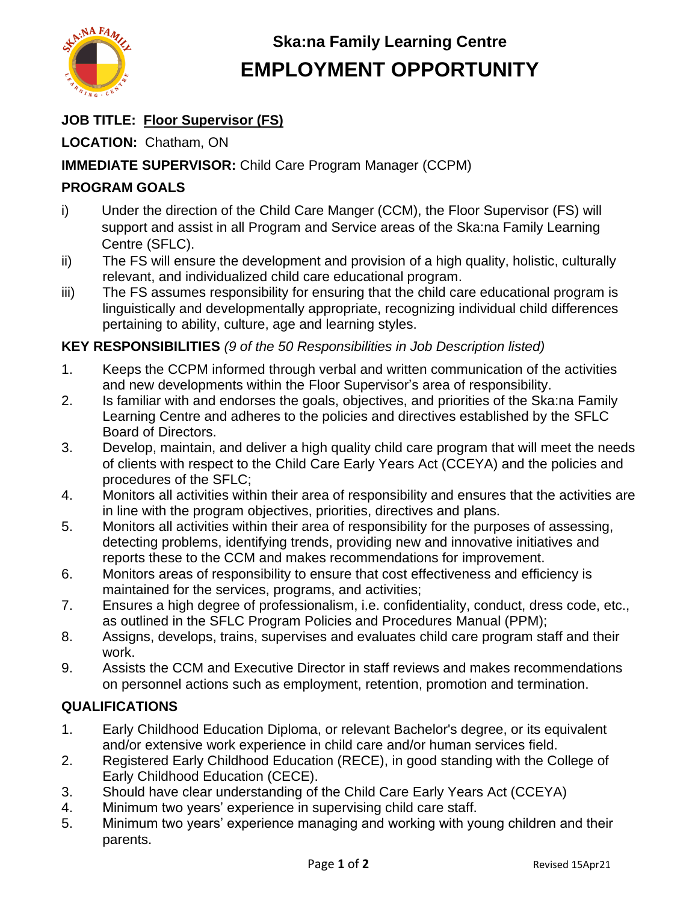

# **Ska:na Family Learning Centre EMPLOYMENT OPPORTUNITY**

### **JOB TITLE: Floor Supervisor (FS)**

**LOCATION:** Chatham, ON

#### **IMMEDIATE SUPERVISOR:** Child Care Program Manager (CCPM)

### **PROGRAM GOALS**

- i) Under the direction of the Child Care Manger (CCM), the Floor Supervisor (FS) will support and assist in all Program and Service areas of the Ska:na Family Learning Centre (SFLC).
- ii) The FS will ensure the development and provision of a high quality, holistic, culturally relevant, and individualized child care educational program.
- iii) The FS assumes responsibility for ensuring that the child care educational program is linguistically and developmentally appropriate, recognizing individual child differences pertaining to ability, culture, age and learning styles.

#### **KEY RESPONSIBILITIES** *(9 of the 50 Responsibilities in Job Description listed)*

- 1. Keeps the CCPM informed through verbal and written communication of the activities and new developments within the Floor Supervisor's area of responsibility.
- 2. Is familiar with and endorses the goals, objectives, and priorities of the Ska:na Family Learning Centre and adheres to the policies and directives established by the SFLC Board of Directors.
- 3. Develop, maintain, and deliver a high quality child care program that will meet the needs of clients with respect to the Child Care Early Years Act (CCEYA) and the policies and procedures of the SFLC;
- 4. Monitors all activities within their area of responsibility and ensures that the activities are in line with the program objectives, priorities, directives and plans.
- 5. Monitors all activities within their area of responsibility for the purposes of assessing, detecting problems, identifying trends, providing new and innovative initiatives and reports these to the CCM and makes recommendations for improvement.
- 6. Monitors areas of responsibility to ensure that cost effectiveness and efficiency is maintained for the services, programs, and activities;
- 7. Ensures a high degree of professionalism, i.e. confidentiality, conduct, dress code, etc., as outlined in the SFLC Program Policies and Procedures Manual (PPM);
- 8. Assigns, develops, trains, supervises and evaluates child care program staff and their work.
- 9. Assists the CCM and Executive Director in staff reviews and makes recommendations on personnel actions such as employment, retention, promotion and termination.

#### **QUALIFICATIONS**

- 1. Early Childhood Education Diploma, or relevant Bachelor's degree, or its equivalent and/or extensive work experience in child care and/or human services field.
- 2. Registered Early Childhood Education (RECE), in good standing with the College of Early Childhood Education (CECE).
- 3. Should have clear understanding of the Child Care Early Years Act (CCEYA)
- 4. Minimum two years' experience in supervising child care staff.
- 5. Minimum two years' experience managing and working with young children and their parents.